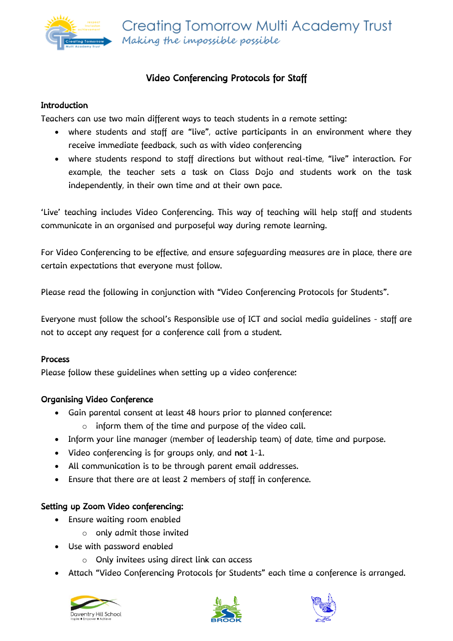

# Video Conferencing Protocols for Staff

### Introduction

Teachers can use two main different ways to teach students in a remote setting:

- where students and staff are "live", active participants in an environment where they receive immediate feedback, such as with video conferencing
- where students respond to staff directions but without real-time, "live" interaction. For example, the teacher sets a task on Class Dojo and students work on the task independently, in their own time and at their own pace.

'Live' teaching includes Video Conferencing. This way of teaching will help staff and students communicate in an organised and purposeful way during remote learning.

For Video Conferencing to be effective, and ensure safeguarding measures are in place, there are certain expectations that everyone must follow.

Please read the following in conjunction with "Video Conferencing Protocols for Students".

Everyone must follow the school's Responsible use of ICT and social media guidelines - staff are not to accept any request for a conference call from a student.

#### Process

Please follow these guidelines when setting up a video conference:

# Organising Video Conference

- Gain parental consent at least 48 hours prior to planned conference:
	- o inform them of the time and purpose of the video call.
- Inform your line manager (member of leadership team) of date, time and purpose.
- Video conferencing is for groups only, and not 1-1.
- All communication is to be through parent email addresses.
- Ensure that there are at least 2 members of staff in conference.

# Setting up Zoom Video conferencing:

- Ensure waiting room enabled
	- o only admit those invited
- Use with password enabled
	- o Only invitees using direct link can access
- Attach "Video Conferencing Protocols for Students" each time a conference is arranged.